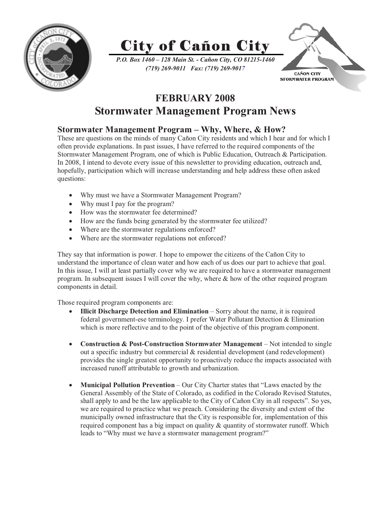



*P.O. Box 1460 – 128 Main St. - Cañon City, CO 81215-1460 (719) 269-9011 Fax: (719) 269-9017*



## **FEBRUARY 2008 Stormwater Management Program News**

## **Stormwater Management Program – Why, Where, & How?**

These are questions on the minds of many Cañon City residents and which I hear and for which I often provide explanations. In past issues, I have referred to the required components of the Stormwater Management Program, one of which is Public Education, Outreach & Participation. In 2008, I intend to devote every issue of this newsletter to providing education, outreach and, hopefully, participation which will increase understanding and help address these often asked questions:

- $\bullet$ Why must we have a Stormwater Management Program?
- Why must I pay for the program?
- How was the stormwater fee determined?
- How are the funds being generated by the stormwater fee utilized?
- Where are the stormwater regulations enforced?
- Where are the stormwater regulations not enforced?

They say that information is power. I hope to empower the citizens of the Cañon City to understand the importance of clean water and how each of us does our part to achieve that goal. In this issue, I will at least partially cover why we are required to have a stormwater management program. In subsequent issues I will cover the why, where  $\&$  how of the other required program components in detail.

Those required program components are:

- **Illicit Discharge Detection and Elimination** Sorry about the name, it is required federal government-ese terminology. I prefer Water Pollutant Detection & Elimination which is more reflective and to the point of the objective of this program component.
- $\bullet$  **Construction & Post-Construction Stormwater Management** – Not intended to single out a specific industry but commercial  $\&$  residential development (and redevelopment) provides the single greatest opportunity to proactively reduce the impacts associated with increased runoff attributable to growth and urbanization.
- $\bullet$  **Municipal Pollution Prevention** – Our City Charter states that "Laws enacted by the General Assembly of the State of Colorado, as codified in the Colorado Revised Statutes, shall apply to and be the law applicable to the City of Cañon City in all respects". So yes, we are required to practice what we preach. Considering the diversity and extent of the municipally owned infrastructure that the City is responsible for, implementation of this required component has a big impact on quality  $\&$  quantity of stormwater runoff. Which leads to "Why must we have a stormwater management program?"